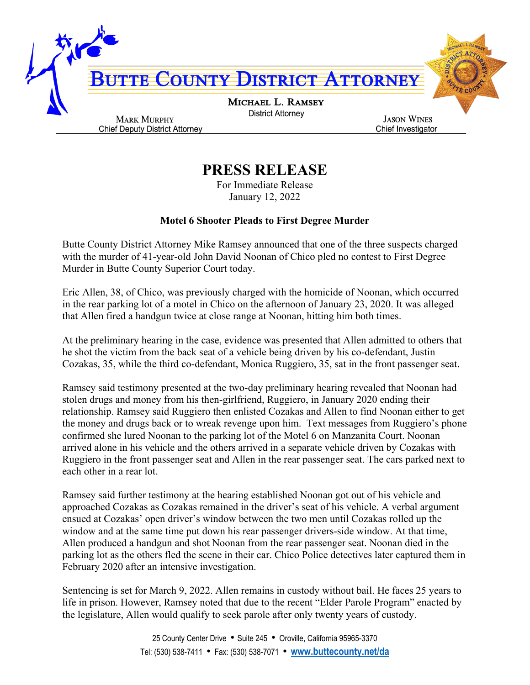

## **PRESS RELEASE**

For Immediate Release January 12, 2022

## **Motel 6 Shooter Pleads to First Degree Murder**

Butte County District Attorney Mike Ramsey announced that one of the three suspects charged with the murder of 41-year-old John David Noonan of Chico pled no contest to First Degree Murder in Butte County Superior Court today.

Eric Allen, 38, of Chico, was previously charged with the homicide of Noonan, which occurred in the rear parking lot of a motel in Chico on the afternoon of January 23, 2020. It was alleged that Allen fired a handgun twice at close range at Noonan, hitting him both times.

At the preliminary hearing in the case, evidence was presented that Allen admitted to others that he shot the victim from the back seat of a vehicle being driven by his co-defendant, Justin Cozakas, 35, while the third co-defendant, Monica Ruggiero, 35, sat in the front passenger seat.

Ramsey said testimony presented at the two-day preliminary hearing revealed that Noonan had stolen drugs and money from his then-girlfriend, Ruggiero, in January 2020 ending their relationship. Ramsey said Ruggiero then enlisted Cozakas and Allen to find Noonan either to get the money and drugs back or to wreak revenge upon him. Text messages from Ruggiero's phone confirmed she lured Noonan to the parking lot of the Motel 6 on Manzanita Court. Noonan arrived alone in his vehicle and the others arrived in a separate vehicle driven by Cozakas with Ruggiero in the front passenger seat and Allen in the rear passenger seat. The cars parked next to each other in a rear lot.

Ramsey said further testimony at the hearing established Noonan got out of his vehicle and approached Cozakas as Cozakas remained in the driver's seat of his vehicle. A verbal argument ensued at Cozakas' open driver's window between the two men until Cozakas rolled up the window and at the same time put down his rear passenger drivers-side window. At that time, Allen produced a handgun and shot Noonan from the rear passenger seat. Noonan died in the parking lot as the others fled the scene in their car. Chico Police detectives later captured them in February 2020 after an intensive investigation.

Sentencing is set for March 9, 2022. Allen remains in custody without bail. He faces 25 years to life in prison. However, Ramsey noted that due to the recent "Elder Parole Program" enacted by the legislature, Allen would qualify to seek parole after only twenty years of custody.

> 25 County Center Drive • Suite 245 • Oroville, California 95965-3370 Tel: (530) 538-7411 • Fax: (530) 538-7071 • **[www.buttecounty.net/da](http://www.buttecounty.net/da)**